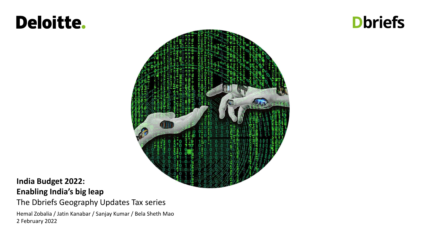# Deloitte.

## **Dbriefs**



### **India Budget 2022: Enabling India's big leap**

The Dbriefs Geography Updates Tax series

Hemal Zobalia / Jatin Kanabar / Sanjay Kumar / Bela Sheth Mao 2 February 2022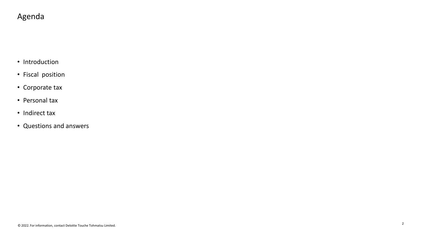### Agenda

- Introduction
- Fiscal position
- Corporate tax
- Personal tax
- Indirect tax
- Questions and answers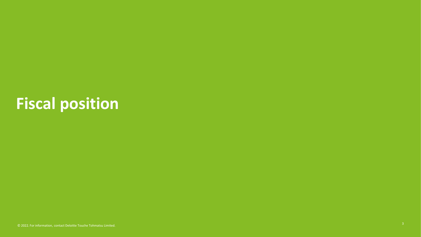# **Fiscal position**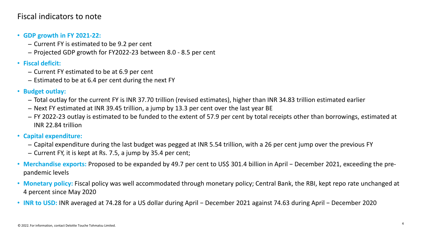### Fiscal indicators to note

- **GDP growth in FY 2021-22:** 
	- − Current FY is estimated to be 9.2 per cent
	- − Projected GDP growth for FY2022-23 between 8.0 8.5 per cent
- **Fiscal deficit:** 
	- − Current FY estimated to be at 6.9 per cent
	- − Estimated to be at 6.4 per cent during the next FY
- **Budget outlay:** 
	- − Total outlay for the current FY is INR 37.70 trillion (revised estimates), higher than INR 34.83 trillion estimated earlier
	- − Next FY estimated at INR 39.45 trillion, a jump by 13.3 per cent over the last year BE
	- − FY 2022-23 outlay is estimated to be funded to the extent of 57.9 per cent by total receipts other than borrowings, estimated at INR 22.84 trillion
- **Capital expenditure:** 
	- − Capital expenditure during the last budget was pegged at INR 5.54 trillion, with a 26 per cent jump over the previous FY
	- − Current FY, it is kept at Rs. 7.5, a jump by 35.4 per cent;
- **Merchandise exports:** Proposed to be expanded by 49.7 per cent to US\$ 301.4 billion in April − December 2021, exceeding the prepandemic levels
- **Monetary policy:** Fiscal policy was well accommodated through monetary policy; Central Bank, the RBI, kept repo rate unchanged at 4 percent since May 2020
- **INR to USD:** INR averaged at 74.28 for a US dollar during April − December 2021 against 74.63 during April − December 2020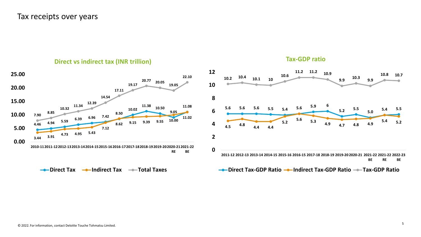### Tax receipts over years



**Tax-GDP ratio**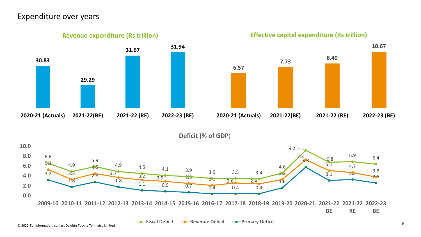### Expenditure over years

**30.83 29.29 31.67 31.94 2020-21 (Actuals) 2021-22(BE) 2021-22 (RE) 2022-23 (BE) Revenue expenditure (Rs trillion)**

**Effective capital expenditure (Rs trillion)**



**Deficit (% of GDP**)

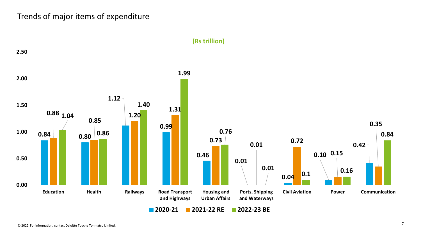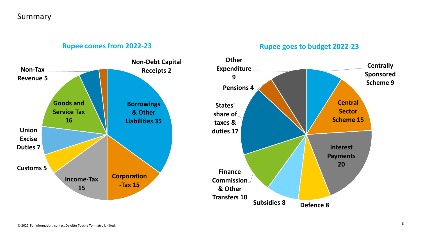### Summary

### **Rupee comes from 2022-23**

### **Rupee goes to budget 2022-23**

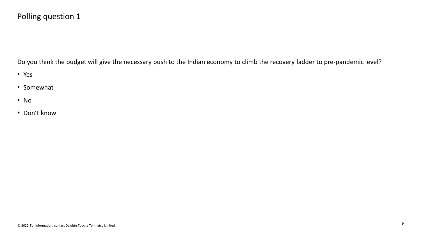### Polling question 1

Do you think the budget will give the necessary push to the Indian economy to climb the recovery ladder to pre-pandemic level?

- Yes
- Somewhat
- No
- Don't know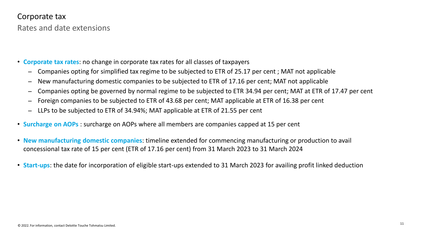Rates and date extensions

- **Corporate tax rates**: no change in corporate tax rates for all classes of taxpayers
	- Companies opting for simplified tax regime to be subjected to ETR of 25.17 per cent ; MAT not applicable
	- New manufacturing domestic companies to be subjected to ETR of 17.16 per cent; MAT not applicable
	- −Companies opting be governed by normal regime to be subjected to ETR 34.94 per cent; MAT at ETR of 17.47 per cent
	- Foreign companies to be subjected to ETR of 43.68 per cent; MAT applicable at ETR of 16.38 per cent
	- − LLPs to be subjected to ETR of 34.94%; MAT applicable at ETR of 21.55 per cent
- **Surcharge on AOPs** : surcharge on AOPs where all members are companies capped at 15 per cent
- **New manufacturing domestic companies**: timeline extended for commencing manufacturing or production to avail concessional tax rate of 15 per cent (ETR of 17.16 per cent) from 31 March 2023 to 31 March 2024
- **Start-ups**: the date for incorporation of eligible start-ups extended to 31 March 2023 for availing profit linked deduction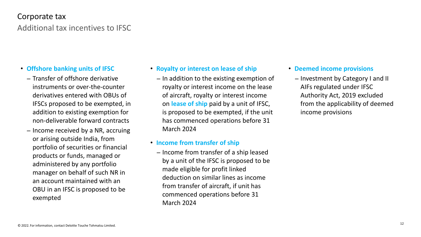### Additional tax incentives to IFSC Corporate tax

- **Offshore banking units of IFSC**
	- − Transfer of offshore derivative instruments or over-the-counter derivatives entered with OBUs of IFSCs proposed to be exempted, in addition to existing exemption for non-deliverable forward contracts
	- − Income received by a NR, accruing or arising outside India, from portfolio of securities or financial products or funds, managed or administered by any portfolio manager on behalf of such NR in an account maintained with an OBU in an IFSC is proposed to be exempted
- **Royalty or interest on lease of ship**
	- − In addition to the existing exemption of royalty or interest income on the lease of aircraft, royalty or interest income on **lease of ship** paid by a unit of IFSC, is proposed to be exempted, if the unit has commenced operations before 31 March 2024

### • **Income from transfer of ship**

− Income from transfer of a ship leased by a unit of the IFSC is proposed to be made eligible for profit linked deduction on similar lines as income from transfer of aircraft, if unit has commenced operations before 31 March 2024

- **Deemed income provisions**
	- − Investment by Category I and II AIFs regulated under IFSC Authority Act, 2019 excluded from the applicability of deemed income provisions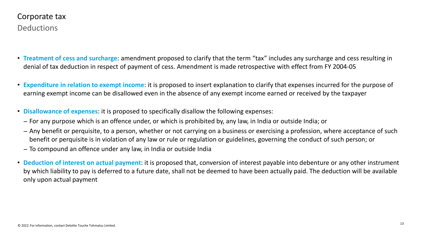- **Treatment of cess and surcharge**: amendment proposed to clarify that the term "tax" includes any surcharge and cess resulting in denial of tax deduction in respect of payment of cess. Amendment is made retrospective with effect from FY 2004-05
- **Expenditure in relation to exempt income**: it is proposed to insert explanation to clarify that expenses incurred for the purpose of earning exempt income can be disallowed even in the absence of any exempt income earned or received by the taxpayer
- **Disallowance of expenses**: it is proposed to specifically disallow the following expenses:
	- − For any purpose which is an offence under, or which is prohibited by, any law, in India or outside India; or
	- − Any benefit or perquisite, to a person, whether or not carrying on a business or exercising a profession, where acceptance of such a such the carrying the candual of such person, or benefit or perquisite is in violation of any law or rule or regulation or guidelines, governing the conduct of such person; or
	- − To compound an offence under any law, in India or outside India
- **Deduction of interest on actual payment**: it is proposed that, conversion of interest payable into debenture or any other instrument by which liability to pay is deferred to a future date, shall not be deemed to have been actually paid. The deduction will be available only upon actual payment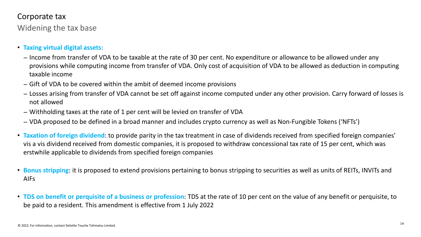Widening the tax base

- **Taxing virtual digital assets:** 
	- − Income from transfer of VDA to be taxable at the rate of 30 per cent. No expenditure or allowance to be allowed under any provisions while computing income from transfer of VDA. Only cost of acquisition of VDA to be allowed as deduction in computing taxable income
	- − Gift of VDA to be covered within the ambit of deemed income provisions
	- − Losses arising from transfer of VDA cannot be set off against income computed under any other provision. Carry forward of losses is not allowed
	- − Withholding taxes at the rate of 1 per cent will be levied on transfer of VDA
	- − VDA proposed to be defined in a broad manner and includes crypto currency as well as Non-Fungible Tokens ('NFTs')
- **Taxation of foreign dividend**: to provide parity in the tax treatment in case of dividends received from specified foreign companies' vis a vis dividend received from domestic companies, it is proposed to withdraw concessional tax rate of 15 per cent, which was erstwhile applicable to dividends from specified foreign companies
- **Bonus stripping**: it is proposed to extend provisions pertaining to bonus stripping to securities as well as units of REITs, INVITs and AIFs
- **TDS on benefit or perquisite of a business or profession**: TDS at the rate of 10 per cent on the value of any benefit or perquisite, to be paid to a resident. This amendment is effective from 1 July 2022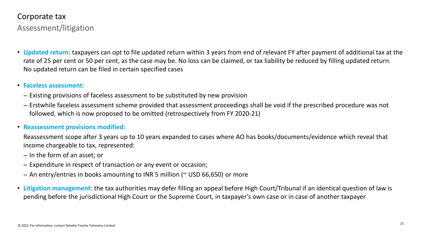Assessment/litigation

• **Updated return**: taxpayers can opt to file updated return within 3 years from end of relevant FY after payment of additional tax at the rate of 25 per cent or 50 per cent, as the case may be. No loss can be claimed, or tax liability be reduced by filling updated return. No updated return can be filed in certain specified cases

### • **Faceless assessment:**

- − Existing provisions of faceless assessment to be substituted by new provision
- − Erstwhile faceless assessment scheme provided that assessment proceedings shall be void if the prescribed procedure was not<br>Followed which is now proposed to be emitted (retrespectively from  $5/2020, 24$ ) followed, which is now proposed to be omitted (retrospectively from FY 2020-21)

### • **Reassessment provisions modified:**

Reassessment scope after 3 years up to 10 years expanded to cases where AO has books/documents/evidence which reveal that income chargeable to tax, represented:

- − In the form of an asset; or
- − Expenditure in respect of transaction or any event or occasion;
- − An entry/entries in books amounting to INR 5 million (~ USD 66,650) or more
- **Litigation management**: the tax authorities may defer filling an appeal before High Court/Tribunal if an identical question of law is pending before the jurisdictional High Court or the Supreme Court, in taxpayer's own case or in case of another taxpayer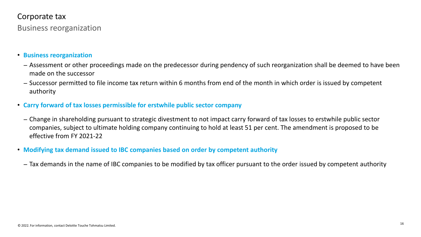Business reorganization

- **Business reorganization**
	- − Assessment or other proceedings made on the predecessor during pendency of such reorganization shall be deemed to have been made on the successor
	- − Successor permitted to file income tax return within 6 months from end of the month in which order is issued by competent authority
- **Carry forward of tax losses permissible for erstwhile public sector company**
	- − Change in shareholding pursuant to strategic divestment to not impact carry forward of tax losses to erstwhile public sector companies, subject to ultimate holding company continuing to hold at least 51 per cent. The amendment is proposed to be effective from FY 2021-22
- **Modifying tax demand issued to IBC companies based on order by competent authority**
	- − Tax demands in the name of IBC companies to be modified by tax officer pursuant to the order issued by competent authority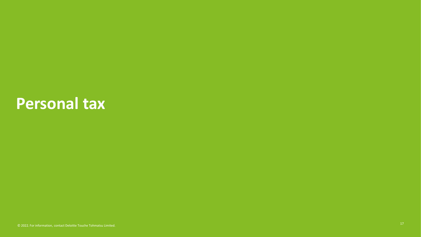## **Personal tax**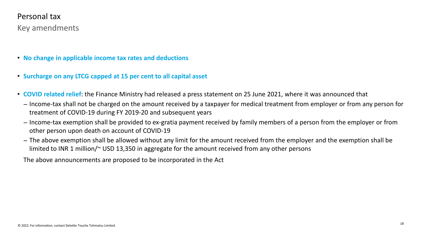### Key amendments Personal tax

- **No change in applicable income tax rates and deductions**
- **Surcharge on any LTCG capped at 15 per cent to all capital asset**
- **COVID related relief**: the Finance Ministry had released a press statement on 25 June 2021, where it was announced that
	- − Income-tax shall not be charged on the amount received by a taxpayer for medical treatment from employer or from any person for treatment of COVID-19 during FY 2019-20 and subsequent years
	- − Income-tax exemption shall be provided to ex-gratia payment received by family members of a person from the employer or from other person upon death on account of COVID-19
	- − The above exemption shall be allowed without any limit for the amount received from the employer and the exemption shall be limited to INR 1 million/~ USD 13,350 in aggregate for the amount received from any other persons

The above announcements are proposed to be incorporated in the Act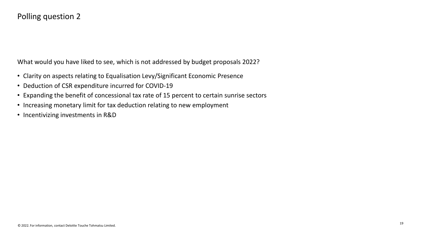### Polling question 2

What would you have liked to see, which is not addressed by budget proposals 2022?

- Clarity on aspects relating to Equalisation Levy/Significant Economic Presence
- Deduction of CSR expenditure incurred for COVID-19
- Expanding the benefit of concessional tax rate of 15 percent to certain sunrise sectors
- Increasing monetary limit for tax deduction relating to new employment
- Incentivizing investments in R&D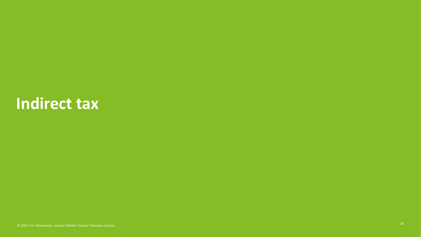## **Indirect tax**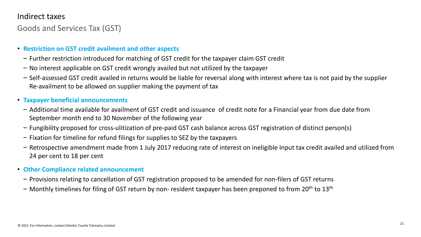### Indirect taxes

Goods and Services Tax (GST)

### • **Restriction on GST credit availment and other aspects**

- Further restriction introduced for matching of GST credit for the taxpayer claim GST credit
- No interest applicable on GST credit wrongly availed but not utilized by the taxpayer
- Self-assessed GST credit availed in returns would be liable for reversal along with interest where tax is not paid by the supplier Re-availment to be allowed on supplier making the payment of tax

### • **Taxpayer beneficial announcements**

- Additional time available for availment of GST credit and issuance of credit note for a Financial year from due date from September month end to 30 November of the following year
- Fungibility proposed for cross-ulitization of pre-paid GST cash balance across GST registration of distinct person(s)
- Fixation for timeline for refund filings for supplies to SEZ by the taxpayers
- Retrospective amendment made from 1 July 2017 reducing rate of interest on ineligible Input tax credit availed and utilized from 24 per cent to 18 per cent
- **Other Compliance related announcement**
- Provisions relating to cancellation of GST registration proposed to be amended for non-filers of GST returns
- Monthly timelines for filing of GST return by non- resident taxpayer has been preponed to from 20<sup>th</sup> to 13<sup>th</sup>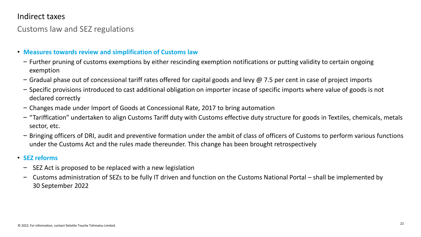### Indirect taxes

### Customs law and SEZ regulations

- **Measures towards review and simplification of Customs law**
- Further pruning of customs exemptions by either rescinding exemption notifications or putting validity to certain ongoing exemption
- $-$  Gradual phase out of concessional tariff rates offered for capital goods and levy @ 7.5 per cent in case of project imports
- Specific provisions introduced to cast additional obligation on importer incase of specific imports where value of goods is not declared correctly
- Changes made under Import of Goods at Concessional Rate, 2017 to bring automation
- "Tariffication" undertaken to align Customs Tariff duty with Customs effective duty structure for goods in Textiles, chemicals, metals sector, etc.
- Bringing officers of DRI, audit and preventive formation under the ambit of class of officers of Customs to perform various functions under the Customs Act and the rules made thereunder. This change has been brought retrospectively
- **SEZ reforms**
	- –SEZ Act is proposed to be replaced with a new legislation
	- – Customs administration of SEZs to be fully IT driven and function on the Customs National Portal – shall be implemented by 30 September 2022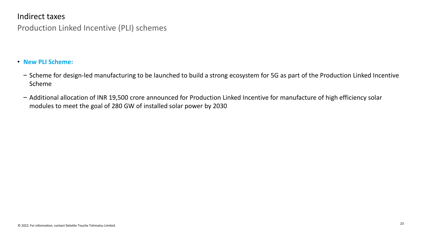### Indirect taxes

### Production Linked Incentive (PLI) schemes

#### • **New PLI Scheme:**

- Scheme for design-led manufacturing to be launched to build a strong ecosystem for 5G as part of the Production Linked Incentive Scheme
- Additional allocation of INR 19,500 crore announced for Production Linked Incentive for manufacture of high efficiency solar modules to meet the goal of 280 GW of installed solar power by 2030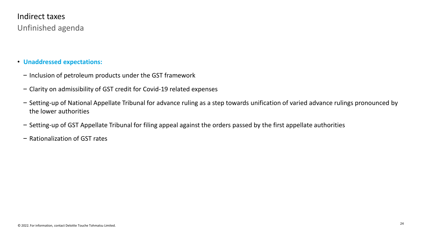### Unfinished agenda Indirect taxes

- **Unaddressed expectations:**
- Inclusion of petroleum products under the GST framework
- Clarity on admissibility of GST credit for Covid-19 related expenses
- Setting-up of National Appellate Tribunal for advance ruling as a step towards unification of varied advance rulings pronounced by the lower authorities
- Setting-up of GST Appellate Tribunal for filing appeal against the orders passed by the first appellate authorities
- Rationalization of GST rates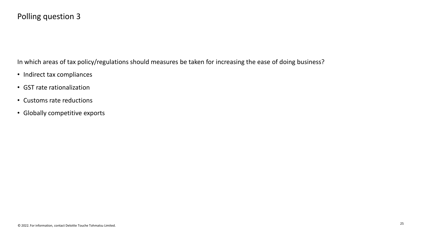### Polling question 3

In which areas of tax policy/regulations should measures be taken for increasing the ease of doing business?

- Indirect tax compliances
- GST rate rationalization
- Customs rate reductions
- Globally competitive exports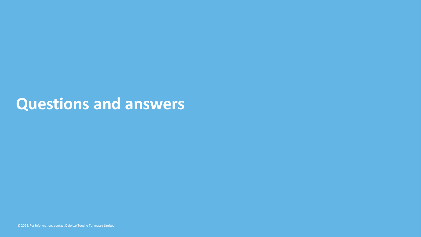## **Questions and answers**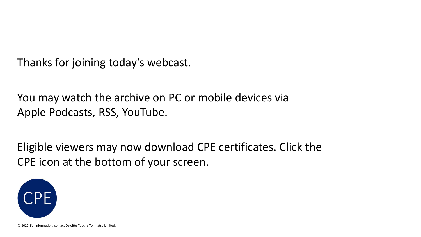Thanks for joining today's webcast.

You may watch the archive on PC or mobile devices via Apple Podcasts, RSS, YouTube.

Eligible viewers may now download CPE certificates. Click the CPE icon at the bottom of your screen.



© 2022. For information, contact Deloitte Touche Tohmatsu Limited.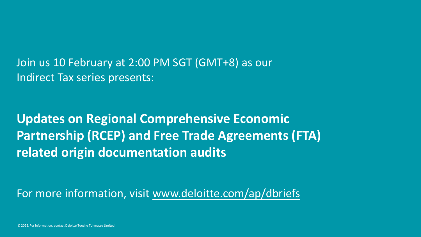Join us 10 February at 2:00 PM SGT (GMT+8) as our Indirect Tax series presents:

**Updates on Regional Comprehensive Economic Partnership (RCEP) and Free Trade Agreements (FTA) related origin documentation audits**

For more information, visit www.deloitte.com/ap/dbriefs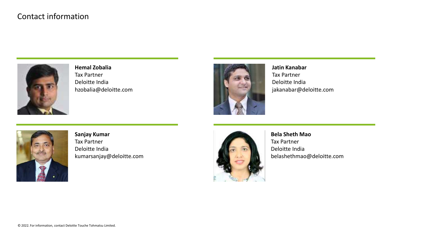### Contact information



**Hemal Zobalia** Tax Partner Deloitte India hzobalia@deloitte.com



**Jatin Kanabar** Tax Partner Deloitte India jakanabar@deloitte.com



**Sanjay Kumar** Tax Partner Deloitte India kumarsanjay@deloitte.com



**Bela Sheth Mao** Tax Partner Deloitte India belashethmao@deloitte.com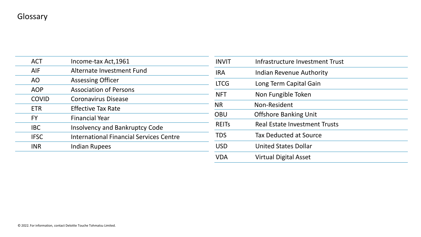| <b>ACT</b>   | Income-tax Act, 1961                           |
|--------------|------------------------------------------------|
| <b>AIF</b>   | Alternate Investment Fund                      |
| AO           | <b>Assessing Officer</b>                       |
| <b>AOP</b>   | <b>Association of Persons</b>                  |
| <b>COVID</b> | <b>Coronavirus Disease</b>                     |
| <b>ETR</b>   | <b>Effective Tax Rate</b>                      |
| <b>FY</b>    | <b>Financial Year</b>                          |
| <b>IBC</b>   | <b>Insolvency and Bankruptcy Code</b>          |
| <b>IFSC</b>  | <b>International Financial Services Centre</b> |
| <b>INR</b>   | <b>Indian Rupees</b>                           |
|              |                                                |

| <b>INVIT</b> | Infrastructure Investment Trust      |
|--------------|--------------------------------------|
| <b>IRA</b>   | Indian Revenue Authority             |
| <b>LTCG</b>  | Long Term Capital Gain               |
| <b>NFT</b>   | Non Fungible Token                   |
| <b>NR</b>    | Non-Resident                         |
| <b>OBU</b>   | <b>Offshore Banking Unit</b>         |
| <b>REITS</b> | <b>Real Estate Investment Trusts</b> |
| <b>TDS</b>   | <b>Tax Deducted at Source</b>        |
| <b>USD</b>   | <b>United States Dollar</b>          |
| VDA          | <b>Virtual Digital Asset</b>         |
|              |                                      |